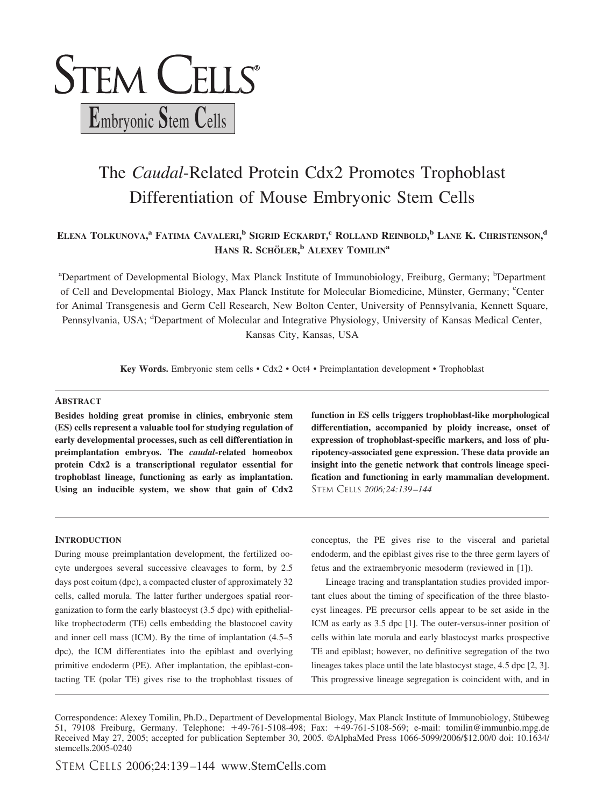

# The *Caudal*-Related Protein Cdx2 Promotes Trophoblast Differentiation of Mouse Embryonic Stem Cells

# **ELENA TOLKUNOVA, <sup>a</sup> FATIMA CAVALERI, <sup>b</sup> SIGRID ECKARDT, <sup>c</sup> ROLLAND REINBOLD, <sup>b</sup> LANE K. CHRISTENSON, d HANS R. SCHOLER ¨ , <sup>b</sup> ALEXEY TOMILINa**

<sup>a</sup>Department of Developmental Biology, Max Planck Institute of Immunobiology, Freiburg, Germany; <sup>b</sup>Department of Cell and Developmental Biology, Max Planck Institute for Molecular Biomedicine, Münster, Germany; <sup>c</sup>Center for Animal Transgenesis and Germ Cell Research, New Bolton Center, University of Pennsylvania, Kennett Square, Pennsylvania, USA; <sup>d</sup>Department of Molecular and Integrative Physiology, University of Kansas Medical Center, Kansas City, Kansas, USA

**Key Words.** Embryonic stem cells • Cdx2 • Oct4 • Preimplantation development • Trophoblast

#### **ABSTRACT**

**Besides holding great promise in clinics, embryonic stem (ES) cells represent a valuable tool for studying regulation of early developmental processes, such as cell differentiation in preimplantation embryos. The** *caudal***-related homeobox protein Cdx2 is a transcriptional regulator essential for trophoblast lineage, functioning as early as implantation. Using an inducible system, we show that gain of Cdx2**

#### **INTRODUCTION**

During mouse preimplantation development, the fertilized oocyte undergoes several successive cleavages to form, by 2.5 days post coitum (dpc), a compacted cluster of approximately 32 cells, called morula. The latter further undergoes spatial reorganization to form the early blastocyst (3.5 dpc) with epitheliallike trophectoderm (TE) cells embedding the blastocoel cavity and inner cell mass (ICM). By the time of implantation (4.5–5 dpc), the ICM differentiates into the epiblast and overlying primitive endoderm (PE). After implantation, the epiblast-contacting TE (polar TE) gives rise to the trophoblast tissues of **function in ES cells triggers trophoblast-like morphological differentiation, accompanied by ploidy increase, onset of expression of trophoblast-specific markers, and loss of pluripotency-associated gene expression. These data provide an insight into the genetic network that controls lineage specification and functioning in early mammalian development.** STEM CELLS *2006;24:139 –144*

conceptus, the PE gives rise to the visceral and parietal endoderm, and the epiblast gives rise to the three germ layers of fetus and the extraembryonic mesoderm (reviewed in [1]).

Lineage tracing and transplantation studies provided important clues about the timing of specification of the three blastocyst lineages. PE precursor cells appear to be set aside in the ICM as early as 3.5 dpc [1]. The outer-versus-inner position of cells within late morula and early blastocyst marks prospective TE and epiblast; however, no definitive segregation of the two lineages takes place until the late blastocyst stage, 4.5 dpc [2, 3]. This progressive lineage segregation is coincident with, and in

Correspondence: Alexey Tomilin, Ph.D., Department of Developmental Biology, Max Planck Institute of Immunobiology, Stübeweg 51, 79108 Freiburg, Germany. Telephone: 49-761-5108-498; Fax: 49-761-5108-569; e-mail: tomilin@immunbio.mpg.de Received May 27, 2005; accepted for publication September 30, 2005. ©AlphaMed Press 1066-5099/2006/\$12.00/0 doi: 10.1634/ stemcells.2005-0240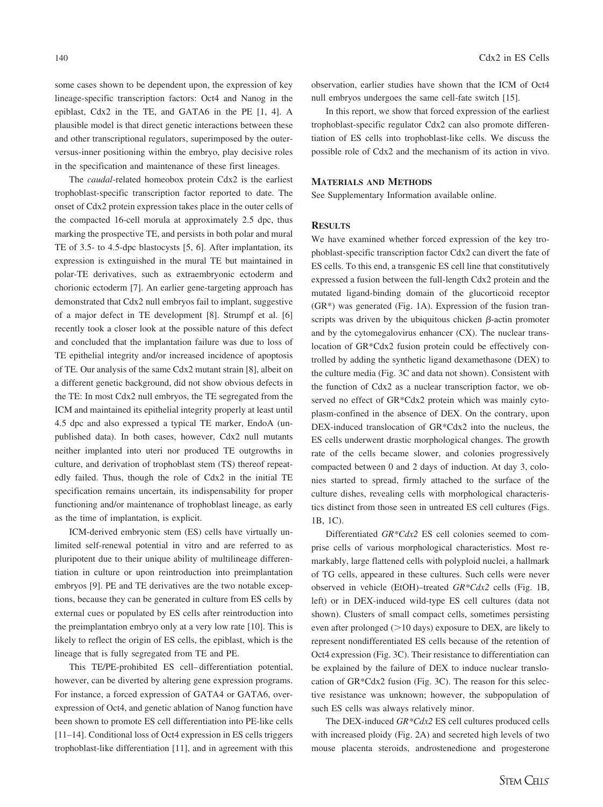some cases shown to be dependent upon, the expression of key lineage-specific transcription factors: Oct4 and Nanog in the epiblast, Cdx2 in the TE, and GATA6 in the PE [1, 4]. A plausible model is that direct genetic interactions between these and other transcriptional regulators, superimposed by the outerversus-inner positioning within the embryo, play decisive roles in the specification and maintenance of these first lineages.

The *caudal*-related homeobox protein Cdx2 is the earliest trophoblast-specific transcription factor reported to date. The onset of Cdx2 protein expression takes place in the outer cells of the compacted 16-cell morula at approximately 2.5 dpc, thus marking the prospective TE, and persists in both polar and mural TE of 3.5- to 4.5-dpc blastocysts [5, 6]. After implantation, its expression is extinguished in the mural TE but maintained in polar-TE derivatives, such as extraembryonic ectoderm and chorionic ectoderm [7]. An earlier gene-targeting approach has demonstrated that Cdx2 null embryos fail to implant, suggestive of a major defect in TE development [8]. Strumpf et al. [6] recently took a closer look at the possible nature of this defect and concluded that the implantation failure was due to loss of TE epithelial integrity and/or increased incidence of apoptosis of TE. Our analysis of the same Cdx2 mutant strain [8], albeit on a different genetic background, did not show obvious defects in the TE: In most Cdx2 null embryos, the TE segregated from the ICM and maintained its epithelial integrity properly at least until 4.5 dpc and also expressed a typical TE marker, EndoA (unpublished data). In both cases, however, Cdx2 null mutants neither implanted into uteri nor produced TE outgrowths in culture, and derivation of trophoblast stem (TS) thereof repeatedly failed. Thus, though the role of Cdx2 in the initial TE specification remains uncertain, its indispensability for proper functioning and/or maintenance of trophoblast lineage, as early as the time of implantation, is explicit.

ICM-derived embryonic stem (ES) cells have virtually unlimited self-renewal potential in vitro and are referred to as pluripotent due to their unique ability of multilineage differentiation in culture or upon reintroduction into preimplantation embryos [9]. PE and TE derivatives are the two notable exceptions, because they can be generated in culture from ES cells by external cues or populated by ES cells after reintroduction into the preimplantation embryo only at a very low rate [10]. This is likely to reflect the origin of ES cells, the epiblast, which is the lineage that is fully segregated from TE and PE.

This TE/PE-prohibited ES cell–differentiation potential, however, can be diverted by altering gene expression programs. For instance, a forced expression of GATA4 or GATA6, overexpression of Oct4, and genetic ablation of Nanog function have been shown to promote ES cell differentiation into PE-like cells [11–14]. Conditional loss of Oct4 expression in ES cells triggers trophoblast-like differentiation [11], and in agreement with this observation, earlier studies have shown that the ICM of Oct4 null embryos undergoes the same cell-fate switch [15].

In this report, we show that forced expression of the earliest trophoblast-specific regulator Cdx2 can also promote differentiation of ES cells into trophoblast-like cells. We discuss the possible role of Cdx2 and the mechanism of its action in vivo.

### **MATERIALS AND METHODS**

See Supplementary Information available online.

#### **RESULTS**

We have examined whether forced expression of the key trophoblast-specific transcription factor Cdx2 can divert the fate of ES cells. To this end, a transgenic ES cell line that constitutively expressed a fusion between the full-length Cdx2 protein and the mutated ligand-binding domain of the glucorticoid receptor  $(GR*)$  was generated (Fig. 1A). Expression of the fusion transcripts was driven by the ubiquitous chicken  $\beta$ -actin promoter and by the cytomegalovirus enhancer (CX). The nuclear translocation of GR\*Cdx2 fusion protein could be effectively controlled by adding the synthetic ligand dexamethasone (DEX) to the culture media (Fig. 3C and data not shown). Consistent with the function of Cdx2 as a nuclear transcription factor, we observed no effect of GR\*Cdx2 protein which was mainly cytoplasm-confined in the absence of DEX. On the contrary, upon DEX-induced translocation of GR\*Cdx2 into the nucleus, the ES cells underwent drastic morphological changes. The growth rate of the cells became slower, and colonies progressively compacted between 0 and 2 days of induction. At day 3, colonies started to spread, firmly attached to the surface of the culture dishes, revealing cells with morphological characteristics distinct from those seen in untreated ES cell cultures (Figs. 1B, 1C).

Differentiated *GR\*Cdx2* ES cell colonies seemed to comprise cells of various morphological characteristics. Most remarkably, large flattened cells with polyploid nuclei, a hallmark of TG cells, appeared in these cultures. Such cells were never observed in vehicle (EtOH)–treated *GR\*Cdx2* cells (Fig. 1B, left) or in DEX-induced wild-type ES cell cultures (data not shown). Clusters of small compact cells, sometimes persisting even after prolonged  $(>10 \text{ days})$  exposure to DEX, are likely to represent nondifferentiated ES cells because of the retention of Oct4 expression (Fig. 3C). Their resistance to differentiation can be explained by the failure of DEX to induce nuclear translocation of GR\*Cdx2 fusion (Fig. 3C). The reason for this selective resistance was unknown; however, the subpopulation of such ES cells was always relatively minor.

The DEX-induced *GR\*Cdx2* ES cell cultures produced cells with increased ploidy (Fig. 2A) and secreted high levels of two mouse placenta steroids, androstenedione and progesterone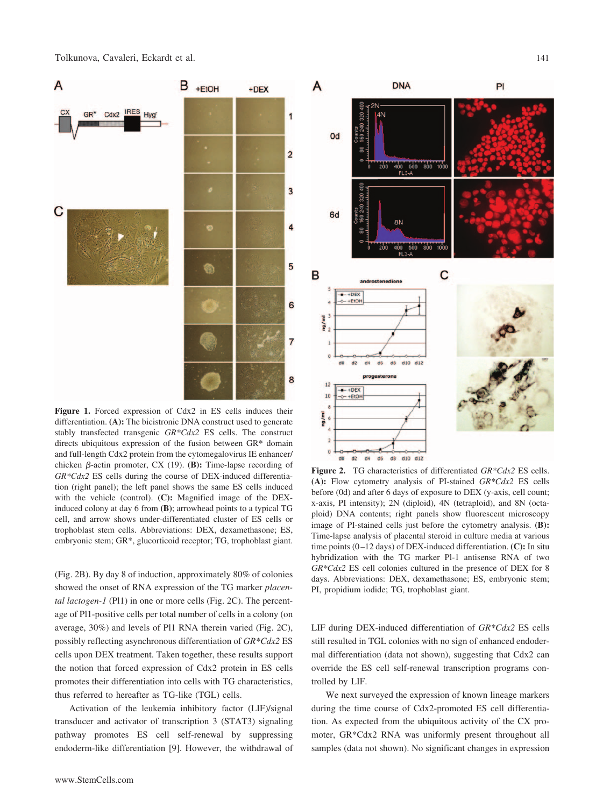Tolkunova, Cavaleri, Eckardt et al. 141



**Figure 1.** Forced expression of Cdx2 in ES cells induces their differentiation. **(A):** The bicistronic DNA construct used to generate stably transfected transgenic *GR\*Cdx2* ES cells. The construct directs ubiquitous expression of the fusion between GR\* domain and full-length Cdx2 protein from the cytomegalovirus IE enhancer/ chicken  $\beta$ -actin promoter, CX (19). **(B):** Time-lapse recording of *GR\*Cdx2* ES cells during the course of DEX-induced differentiation (right panel); the left panel shows the same ES cells induced with the vehicle (control). **(C):** Magnified image of the DEXinduced colony at day 6 from **(B)**; arrowhead points to a typical TG cell, and arrow shows under-differentiated cluster of ES cells or trophoblast stem cells. Abbreviations: DEX, dexamethasone; ES, embryonic stem; GR\*, glucorticoid receptor; TG, trophoblast giant.

(Fig. 2B). By day 8 of induction, approximately 80% of colonies showed the onset of RNA expression of the TG marker *placental lactogen-1* (Pl1) in one or more cells (Fig. 2C). The percentage of Pl1-positive cells per total number of cells in a colony (on average, 30%) and levels of Pl1 RNA therein varied (Fig. 2C), possibly reflecting asynchronous differentiation of *GR\*Cdx2* ES cells upon DEX treatment. Taken together, these results support the notion that forced expression of Cdx2 protein in ES cells promotes their differentiation into cells with TG characteristics, thus referred to hereafter as TG-like (TGL) cells.

Activation of the leukemia inhibitory factor (LIF)/signal transducer and activator of transcription 3 (STAT3) signaling pathway promotes ES cell self-renewal by suppressing endoderm-like differentiation [9]. However, the withdrawal of



**Figure 2.** TG characteristics of differentiated *GR\*Cdx2* ES cells. **(A):** Flow cytometry analysis of PI-stained *GR\*Cdx2* ES cells before (0d) and after 6 days of exposure to DEX (y-axis, cell count; x-axis, PI intensity); 2N (diploid), 4N (tetraploid), and 8N (octaploid) DNA contents; right panels show fluorescent microscopy image of PI-stained cells just before the cytometry analysis. **(B):** Time-lapse analysis of placental steroid in culture media at various time points (0–12 days) of DEX-induced differentiation. **(C):** In situ hybridization with the TG marker Pl-1 antisense RNA of two *GR\*Cdx2* ES cell colonies cultured in the presence of DEX for 8 days. Abbreviations: DEX, dexamethasone; ES, embryonic stem; PI, propidium iodide; TG, trophoblast giant.

LIF during DEX-induced differentiation of *GR\*Cdx2* ES cells still resulted in TGL colonies with no sign of enhanced endodermal differentiation (data not shown), suggesting that Cdx2 can override the ES cell self-renewal transcription programs controlled by LIF.

We next surveyed the expression of known lineage markers during the time course of Cdx2-promoted ES cell differentiation. As expected from the ubiquitous activity of the CX promoter, GR\*Cdx2 RNA was uniformly present throughout all samples (data not shown). No significant changes in expression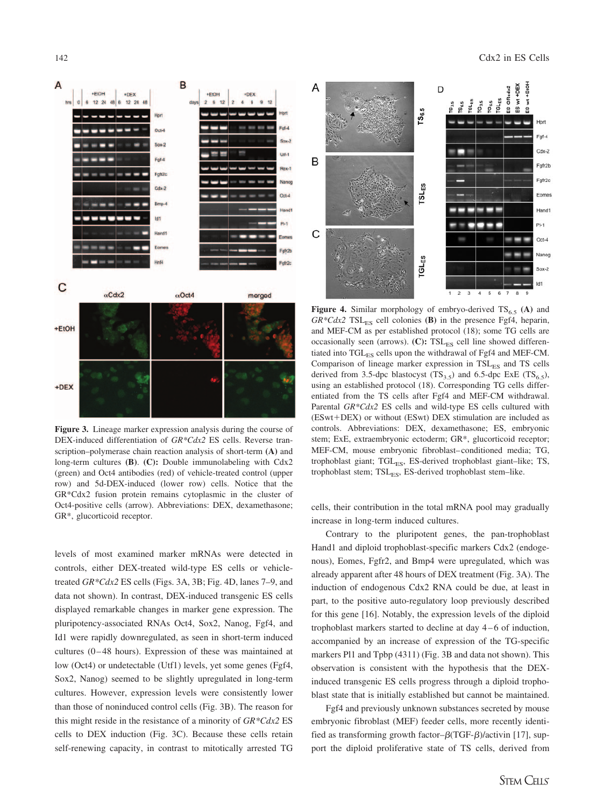

**Figure 3.** Lineage marker expression analysis during the course of DEX-induced differentiation of *GR\*Cdx2* ES cells. Reverse transcription–polymerase chain reaction analysis of short-term **(A)** and long-term cultures **(B)**. **(C):** Double immunolabeling with Cdx2 (green) and Oct4 antibodies (red) of vehicle-treated control (upper row) and 5d-DEX-induced (lower row) cells. Notice that the GR\*Cdx2 fusion protein remains cytoplasmic in the cluster of Oct4-positive cells (arrow). Abbreviations: DEX, dexamethasone; GR\*, glucorticoid receptor.

levels of most examined marker mRNAs were detected in controls, either DEX-treated wild-type ES cells or vehicletreated *GR\*Cdx2* ES cells (Figs. 3A, 3B; Fig. 4D, lanes 7–9, and data not shown). In contrast, DEX-induced transgenic ES cells displayed remarkable changes in marker gene expression. The pluripotency-associated RNAs Oct4, Sox2, Nanog, Fgf4, and Id1 were rapidly downregulated, as seen in short-term induced cultures (0–48 hours). Expression of these was maintained at low (Oct4) or undetectable (Utf1) levels, yet some genes (Fgf4, Sox2, Nanog) seemed to be slightly upregulated in long-term cultures. However, expression levels were consistently lower than those of noninduced control cells (Fig. 3B). The reason for this might reside in the resistance of a minority of *GR\*Cdx2* ES cells to DEX induction (Fig. 3C). Because these cells retain self-renewing capacity, in contrast to mitotically arrested TG



**Figure 4.** Similar morphology of embryo-derived  $TS_{6.5}$  (A) and  $GR*Cdx2$  TSL<sub>ES</sub> cell colonies (B) in the presence Fgf4, heparin, and MEF-CM as per established protocol (18); some TG cells are occasionally seen (arrows).  $(C)$ : TSL<sub>ES</sub> cell line showed differentiated into TGL<sub>ES</sub> cells upon the withdrawal of Fgf4 and MEF-CM. Comparison of lineage marker expression in  $TSL_{ES}$  and TS cells derived from 3.5-dpc blastocyst  $(TS_{3.5})$  and 6.5-dpc ExE  $(TS_{6.5})$ , using an established protocol (18). Corresponding TG cells differentiated from the TS cells after Fgf4 and MEF-CM withdrawal. Parental *GR\*Cdx2* ES cells and wild-type ES cells cultured with  $(ESwt+DEX)$  or without  $(ESwt)$  DEX stimulation are included as controls. Abbreviations: DEX, dexamethasone; ES, embryonic stem; ExE, extraembryonic ectoderm; GR\*, glucorticoid receptor; MEF-CM, mouse embryonic fibroblast–conditioned media; TG, trophoblast giant; TGL<sub>ES</sub>, ES-derived trophoblast giant-like; TS, trophoblast stem;  $TSL_{ES}$ , ES-derived trophoblast stem–like.

cells, their contribution in the total mRNA pool may gradually increase in long-term induced cultures.

Contrary to the pluripotent genes, the pan-trophoblast Hand1 and diploid trophoblast-specific markers Cdx2 (endogenous), Eomes, Fgfr2, and Bmp4 were upregulated, which was already apparent after 48 hours of DEX treatment (Fig. 3A). The induction of endogenous Cdx2 RNA could be due, at least in part, to the positive auto-regulatory loop previously described for this gene [16]. Notably, the expression levels of the diploid trophoblast markers started to decline at day 4–6 of induction, accompanied by an increase of expression of the TG-specific markers Pl1 and Tpbp (4311) (Fig. 3B and data not shown). This observation is consistent with the hypothesis that the DEXinduced transgenic ES cells progress through a diploid trophoblast state that is initially established but cannot be maintained.

Fgf4 and previously unknown substances secreted by mouse embryonic fibroblast (MEF) feeder cells, more recently identified as transforming growth factor- $\beta(TGF- $\beta$ )/activation [17], sup$ port the diploid proliferative state of TS cells, derived from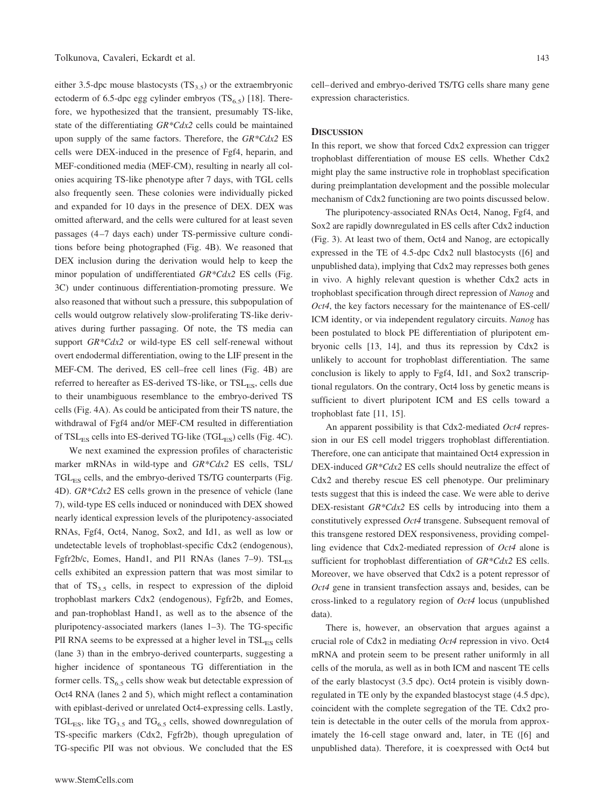either 3.5-dpc mouse blastocysts  $(TS_3, 5)$  or the extraembryonic ectoderm of 6.5-dpc egg cylinder embryos  $(TS_{6.5})$  [18]. Therefore, we hypothesized that the transient, presumably TS-like, state of the differentiating *GR\*Cdx2* cells could be maintained upon supply of the same factors. Therefore, the *GR\*Cdx2* ES cells were DEX-induced in the presence of Fgf4, heparin, and MEF-conditioned media (MEF-CM), resulting in nearly all colonies acquiring TS-like phenotype after 7 days, with TGL cells also frequently seen. These colonies were individually picked and expanded for 10 days in the presence of DEX. DEX was omitted afterward, and the cells were cultured for at least seven passages (4–7 days each) under TS-permissive culture conditions before being photographed (Fig. 4B). We reasoned that DEX inclusion during the derivation would help to keep the minor population of undifferentiated *GR\*Cdx2* ES cells (Fig. 3C) under continuous differentiation-promoting pressure. We also reasoned that without such a pressure, this subpopulation of cells would outgrow relatively slow-proliferating TS-like derivatives during further passaging. Of note, the TS media can support *GR\*Cdx2* or wild-type ES cell self-renewal without overt endodermal differentiation, owing to the LIF present in the MEF-CM. The derived, ES cell–free cell lines (Fig. 4B) are referred to hereafter as ES-derived TS-like, or  $TSL_{ES}$ , cells due to their unambiguous resemblance to the embryo-derived TS cells (Fig. 4A). As could be anticipated from their TS nature, the withdrawal of Fgf4 and/or MEF-CM resulted in differentiation of  $TSL_{ES}$  cells into ES-derived TG-like (TGL $_{ES}$ ) cells (Fig. 4C).

We next examined the expression profiles of characteristic marker mRNAs in wild-type and *GR\*Cdx2* ES cells, TSL/ TGL<sub>ES</sub> cells, and the embryo-derived TS/TG counterparts (Fig. 4D). *GR\*Cdx2* ES cells grown in the presence of vehicle (lane 7), wild-type ES cells induced or noninduced with DEX showed nearly identical expression levels of the pluripotency-associated RNAs, Fgf4, Oct4, Nanog, Sox2, and Id1, as well as low or undetectable levels of trophoblast-specific Cdx2 (endogenous), Fgfr2b/c, Eomes, Hand1, and Pl1 RNAs (lanes  $7-9$ ).  $TSL_{ES}$ cells exhibited an expression pattern that was most similar to that of  $TS_{3.5}$  cells, in respect to expression of the diploid trophoblast markers Cdx2 (endogenous), Fgfr2b, and Eomes, and pan-trophoblast Hand1, as well as to the absence of the pluripotency-associated markers (lanes 1–3). The TG-specific PlI RNA seems to be expressed at a higher level in TSL<sub>ES</sub> cells (lane 3) than in the embryo-derived counterparts, suggesting a higher incidence of spontaneous TG differentiation in the former cells.  $TS_{6.5}$  cells show weak but detectable expression of Oct4 RNA (lanes 2 and 5), which might reflect a contamination with epiblast-derived or unrelated Oct4-expressing cells. Lastly,  $TGL_{ES}$ , like  $TG_{3.5}$  and  $TG_{6.5}$  cells, showed downregulation of TS-specific markers (Cdx2, Fgfr2b), though upregulation of TG-specific PlI was not obvious. We concluded that the ES

www.StemCells.com

cell–derived and embryo-derived TS/TG cells share many gene expression characteristics.

#### **DISCUSSION**

In this report, we show that forced Cdx2 expression can trigger trophoblast differentiation of mouse ES cells. Whether Cdx2 might play the same instructive role in trophoblast specification during preimplantation development and the possible molecular mechanism of Cdx2 functioning are two points discussed below.

The pluripotency-associated RNAs Oct4, Nanog, Fgf4, and Sox2 are rapidly downregulated in ES cells after Cdx2 induction (Fig. 3). At least two of them, Oct4 and Nanog, are ectopically expressed in the TE of 4.5-dpc Cdx2 null blastocysts ([6] and unpublished data), implying that Cdx2 may represses both genes in vivo. A highly relevant question is whether Cdx2 acts in trophoblast specification through direct repression of *Nanog* and *Oct4*, the key factors necessary for the maintenance of ES-cell/ ICM identity, or via independent regulatory circuits. *Nanog* has been postulated to block PE differentiation of pluripotent embryonic cells [13, 14], and thus its repression by Cdx2 is unlikely to account for trophoblast differentiation. The same conclusion is likely to apply to Fgf4, Id1, and Sox2 transcriptional regulators. On the contrary, Oct4 loss by genetic means is sufficient to divert pluripotent ICM and ES cells toward a trophoblast fate [11, 15].

An apparent possibility is that Cdx2-mediated *Oct4* repression in our ES cell model triggers trophoblast differentiation. Therefore, one can anticipate that maintained Oct4 expression in DEX-induced *GR\*Cdx2* ES cells should neutralize the effect of Cdx2 and thereby rescue ES cell phenotype. Our preliminary tests suggest that this is indeed the case. We were able to derive DEX-resistant *GR\*Cdx2* ES cells by introducing into them a constitutively expressed *Oct4* transgene. Subsequent removal of this transgene restored DEX responsiveness, providing compelling evidence that Cdx2-mediated repression of *Oct4* alone is sufficient for trophoblast differentiation of *GR\*Cdx2* ES cells. Moreover, we have observed that Cdx2 is a potent repressor of *Oct4* gene in transient transfection assays and, besides, can be cross-linked to a regulatory region of *Oct4* locus (unpublished data).

There is, however, an observation that argues against a crucial role of Cdx2 in mediating *Oct4* repression in vivo. Oct4 mRNA and protein seem to be present rather uniformly in all cells of the morula, as well as in both ICM and nascent TE cells of the early blastocyst (3.5 dpc). Oct4 protein is visibly downregulated in TE only by the expanded blastocyst stage (4.5 dpc), coincident with the complete segregation of the TE. Cdx2 protein is detectable in the outer cells of the morula from approximately the 16-cell stage onward and, later, in TE ([6] and unpublished data). Therefore, it is coexpressed with Oct4 but